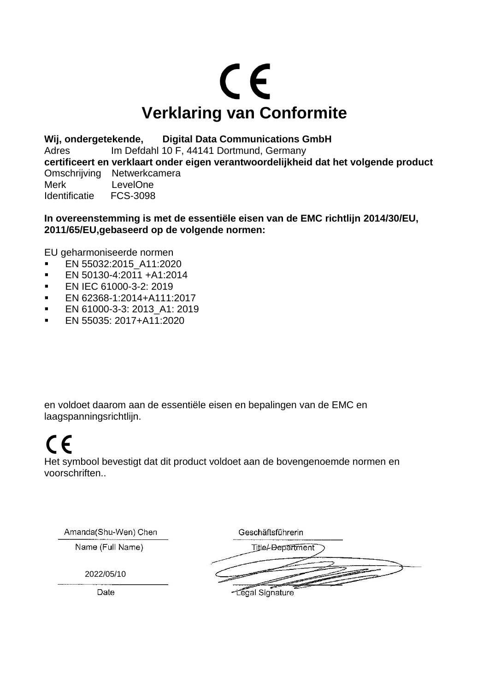

**Wij, ondergetekende, Digital Data Communications GmbH** Adres Im Defdahl 10 F, 44141 Dortmund, Germany **certificeert en verklaart onder eigen verantwoordelijkheid dat het volgende product**  Omschrijving Netwerkcamera Merk LevelOne Identificatie FCS-3098

**In overeenstemming is met de essentiële eisen van de EMC richtlijn 2014/30/EU, 2011/65/EU,gebaseerd op de volgende normen:**

EU geharmoniseerde normen

- EN 55032:2015\_A11:2020
- EN 50130-4:2011 +A1:2014
- **EN IEC 61000-3-2: 2019**
- EN 62368-1:2014+A111:2017
- **EN 61000-3-3: 2013 A1: 2019**
- EN 55035: 2017+A11:2020

en voldoet daarom aan de essentiële eisen en bepalingen van de EMC en laagspanningsrichtlijn.

## $\epsilon$

Het symbool bevestigt dat dit product voldoet aan de bovengenoemde normen en voorschriften..

Amanda(Shu-Wen) Chen

Name (Full Name)

Geschäftsführerin

2022/05/10

Title/-Department

Date

-Legal Signature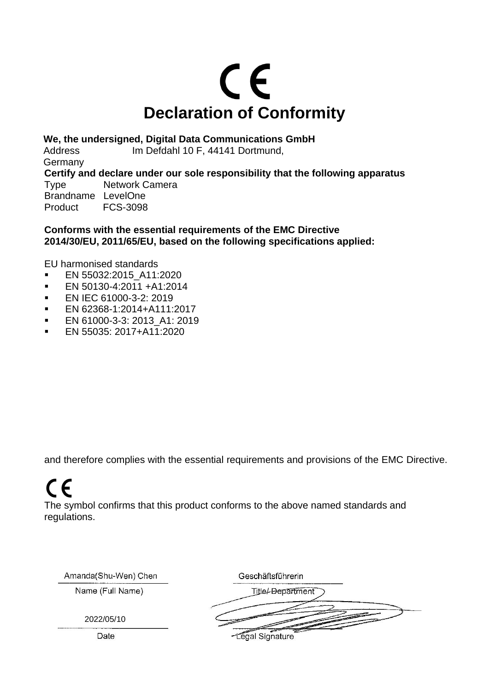

**We, the undersigned, Digital Data Communications GmbH**

Address Im Defdahl 10 F, 44141 Dortmund, Germany **Certify and declare under our sole responsibility that the following apparatus**  Type Network Camera Brandname LevelOne<br>Product FCS-3098 FCS-3098

**Conforms with the essential requirements of the EMC Directive 2014/30/EU, 2011/65/EU, based on the following specifications applied:**

EU harmonised standards

- **EN 55032:2015 A11:2020**
- EN 50130-4:2011 +A1:2014
- **EN IEC 61000-3-2: 2019**
- EN 62368-1:2014+A111:2017
- **EN 61000-3-3: 2013 A1: 2019**
- EN 55035: 2017+A11:2020

and therefore complies with the essential requirements and provisions of the EMC Directive.

## $\epsilon$

The symbol confirms that this product conforms to the above named standards and regulations.

| Amanda(Shu-Wen) Chen | Geschäftsführerin        |
|----------------------|--------------------------|
| Name (Full Name)     | <b>Title/-Department</b> |
| 2022/05/10           |                          |
| Date                 | -Legal Signature         |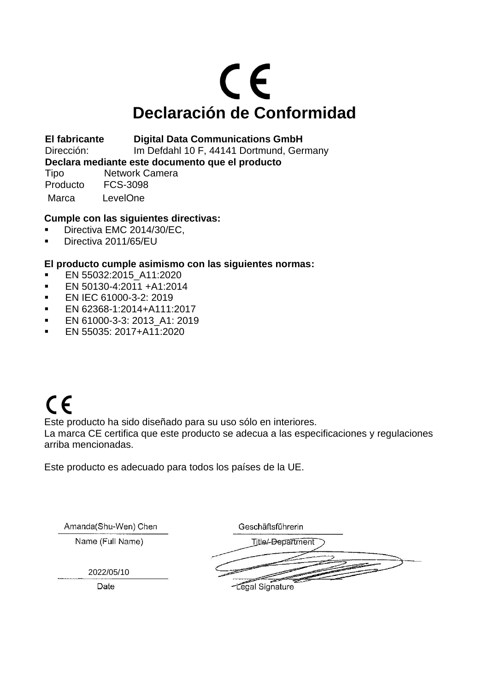# CE **Declaración de Conformidad**

**El fabricante Digital Data Communications GmbH** 

Dirección: Im Defdahl 10 F, 44141 Dortmund, Germany

**Declara mediante este documento que el producto**

Tipo Network Camera Producto FCS-3098 Marca LevelOne

### **Cumple con las siguientes directivas:**

- Directiva EMC 2014/30/EC.
- **•** Directiva 2011/65/EU

### **El producto cumple asimismo con las siguientes normas:**

- **EN 55032:2015 A11:2020**
- EN 50130-4:2011 +A1:2014
- **EN IEC 61000-3-2: 2019**
- EN 62368-1:2014+A111:2017
- **EN 61000-3-3: 2013 A1: 2019**
- EN 55035: 2017+A11:2020

## $C \in$

Este producto ha sido diseñado para su uso sólo en interiores.

La marca CE certifica que este producto se adecua a las especificaciones y regulaciones arriba mencionadas.

Este producto es adecuado para todos los países de la UE.

| Amanda(Shu-Wen) Chen | Geschäftsführerin |
|----------------------|-------------------|
| Name (Full Name)     | Title/-Department |
|                      |                   |
| 2022/05/10           |                   |
| Date                 | -Legal Signature  |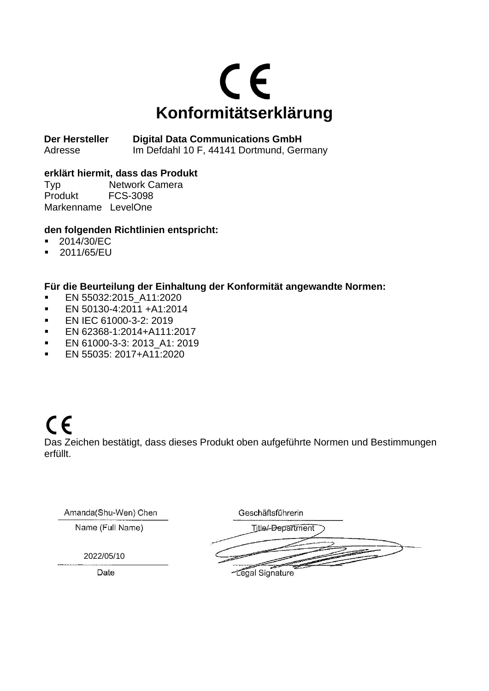

**Der Hersteller Digital Data Communications GmbH**  Adresse Im Defdahl 10 F, 44141 Dortmund, Germany

### **erklärt hiermit, dass das Produkt**

Typ Network Camera Produkt FCS-3098 Markenname LevelOne

### **den folgenden Richtlinien entspricht:**

- 2014/30/EC
- 2011/65/EU

### **Für die Beurteilung der Einhaltung der Konformität angewandte Normen:**

- **EN 55032:2015 A11:2020**
- EN 50130-4:2011 +A1:2014
- **EN IEC 61000-3-2: 2019**
- EN 62368-1:2014+A111:2017
- EN 61000-3-3: 2013 A1: 2019
- EN 55035: 2017+A11:2020

### $C \in$ Das Zeichen bestätigt, dass dieses Produkt oben aufgeführte Normen und Bestimmungen erfüllt.

| Geschäftsführerin        |
|--------------------------|
| <b>Title/-Department</b> |
|                          |
|                          |
| -Legal Signature         |
|                          |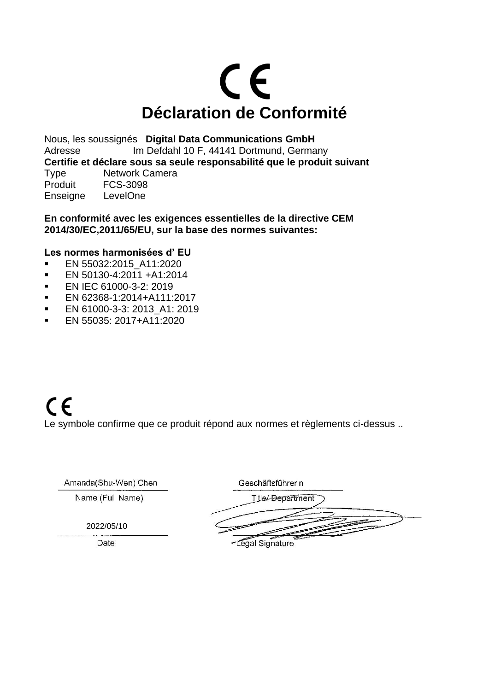# CE **Déclaration de Conformité**

Nous, les soussignés **Digital Data Communications GmbH** Adresse Im Defdahl 10 F, 44141 Dortmund, Germany **Certifie et déclare sous sa seule responsabilité que le produit suivant** Type Network Camera Produit FCS-3098 Enseigne LevelOne

**En conformité avec les exigences essentielles de la directive CEM 2014/30/EC,2011/65/EU, sur la base des normes suivantes:**

### **Les normes harmonisées d' EU**

- EN 55032:2015 A11:2020
- EN 50130-4:2011 +A1:2014
- EN IEC 61000-3-2: 2019
- EN 62368-1:2014+A111:2017
- **EN 61000-3-3: 2013 A1: 2019**
- $\blacksquare$  EN 55035: 2017+A11:2020

Ama

### $C \in$ Le symbole confirme que ce produit répond aux normes et règlements ci-dessus ..

| 1anda(Shu-Wen) Chen | Geschäftsführerin |
|---------------------|-------------------|
| Name (Full Name)    | Title/-Department |
|                     |                   |
| 2022/05/10          |                   |
| Date                | Legal Signature   |

-Legal Signature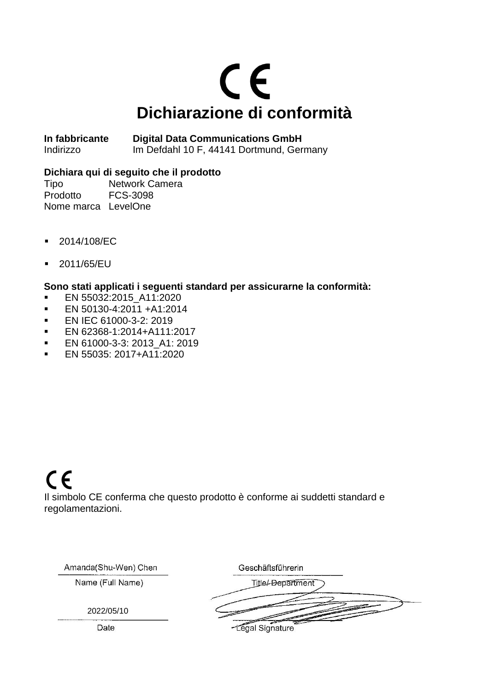# $C \in$ **Dichiarazione di conformità**

**In fabbricante Digital Data Communications GmbH**  Indirizzo Im Defdahl 10 F, 44141 Dortmund, Germany

### **Dichiara qui di seguito che il prodotto**

Tipo Network Camera Prodotto FCS-3098 Nome marca LevelOne

- 2014/108/EC
- 2011/65/EU

### **Sono stati applicati i seguenti standard per assicurarne la conformità:**

- EN 55032:2015\_A11:2020
- EN 50130-4:2011 +A1:2014
- **EN IEC 61000-3-2: 2019**
- EN 62368-1:2014+A111:2017
- EN 61000-3-3: 2013 A1: 2019
- **EN 55035: 2017+A11:2020**

## $C \in$

Il simbolo CE conferma che questo prodotto è conforme ai suddetti standard e regolamentazioni.

Amanda(Shu-Wen) Chen

 $O_{\text{total}}$  and  $O_{\text{total}}$ 

Name (Full Name)

2022/05/10

Date

|  | Geschaltsführen i        |  |  |
|--|--------------------------|--|--|
|  | <b>Title/-Department</b> |  |  |
|  |                          |  |  |
|  |                          |  |  |
|  | -Legal Signature         |  |  |